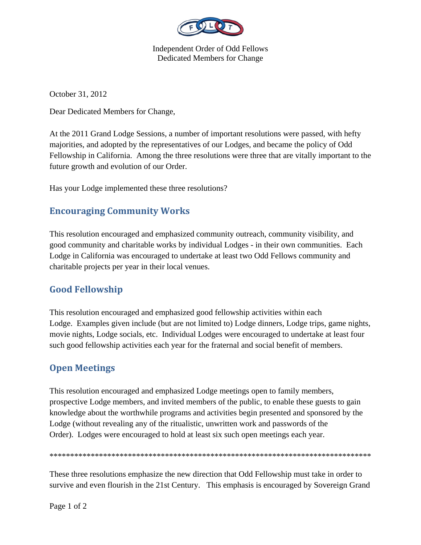

Independent Order of Odd Fellows Dedicated Members for Change

October 31, 2012

Dear Dedicated Members for Change,

At the 2011 Grand Lodge Sessions, a number of important resolutions were passed, with hefty majorities, and adopted by the representatives of our Lodges, and became the policy of Odd Fellowship in California. Among the three resolutions were three that are vitally important to the future growth and evolution of our Order.

Has your Lodge implemented these three resolutions?

## **Encouraging Community Works**

This resolution encouraged and emphasized community outreach, community visibility, and good community and charitable works by individual Lodges - in their own communities. Each Lodge in California was encouraged to undertake at least two Odd Fellows community and charitable projects per year in their local venues.

## **Good Fellowship**

This resolution encouraged and emphasized good fellowship activities within each Lodge. Examples given include (but are not limited to) Lodge dinners, Lodge trips, game nights, movie nights, Lodge socials, etc. Individual Lodges were encouraged to undertake at least four such good fellowship activities each year for the fraternal and social benefit of members.

## **Open Meetings**

This resolution encouraged and emphasized Lodge meetings open to family members, prospective Lodge members, and invited members of the public, to enable these guests to gain knowledge about the worthwhile programs and activities begin presented and sponsored by the Lodge (without revealing any of the ritualistic, unwritten work and passwords of the Order). Lodges were encouraged to hold at least six such open meetings each year.

\*\*\*\*\*\*\*\*\*\*\*\*\*\*\*\*\*\*\*\*\*\*\*\*\*\*\*\*\*\*\*\*\*\*\*\*\*\*\*\*\*\*\*\*\*\*\*\*\*\*\*\*\*\*\*\*\*\*\*\*\*\*\*\*\*\*\*\*\*\*\*\*\*\*\*\*\*\*

These three resolutions emphasize the new direction that Odd Fellowship must take in order to survive and even flourish in the 21st Century. This emphasis is encouraged by Sovereign Grand